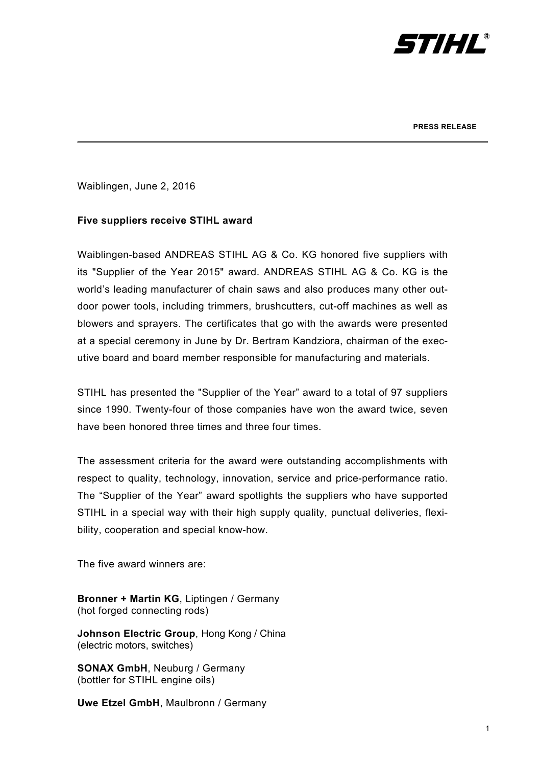

Waiblingen, June 2, 2016

## **Five suppliers receive STIHL award**

Waiblingen-based ANDREAS STIHL AG & Co. KG honored five suppliers with its "Supplier of the Year 2015" award. ANDREAS STIHL AG & Co. KG is the world's leading manufacturer of chain saws and also produces many other outdoor power tools, including trimmers, brushcutters, cut-off machines as well as blowers and sprayers. The certificates that go with the awards were presented at a special ceremony in June by Dr. Bertram Kandziora, chairman of the executive board and board member responsible for manufacturing and materials.

\_\_\_\_\_\_\_\_\_\_\_\_\_\_\_\_\_\_\_\_\_\_\_\_\_\_\_\_\_\_\_\_\_\_\_\_\_\_\_\_\_\_\_\_\_\_\_\_\_\_\_\_\_\_\_\_\_\_\_\_\_\_\_\_\_\_\_\_\_\_\_

STIHL has presented the "Supplier of the Year" award to a total of 97 suppliers since 1990. Twenty-four of those companies have won the award twice, seven have been honored three times and three four times.

The assessment criteria for the award were outstanding accomplishments with respect to quality, technology, innovation, service and price-performance ratio. The "Supplier of the Year" award spotlights the suppliers who have supported STIHL in a special way with their high supply quality, punctual deliveries, flexibility, cooperation and special know-how.

The five award winners are:

**Bronner + Martin KG**, Liptingen / Germany (hot forged connecting rods)

**Johnson Electric Group, Hong Kong / China** (electric motors, switches)

**SONAX GmbH**, Neuburg / Germany (bottler for STIHL engine oils)

**Uwe Etzel GmbH**, Maulbronn / Germany